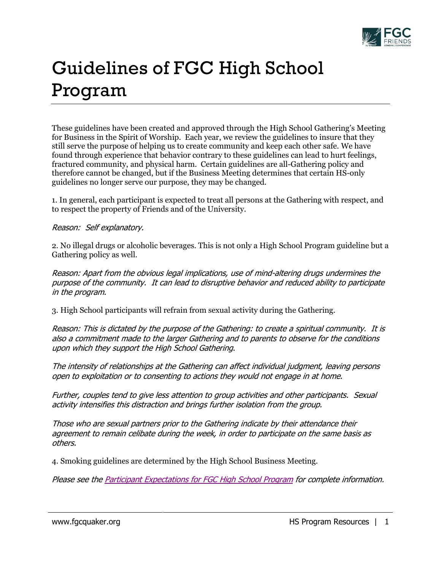

## Guidelines of FGC High School Program

These guidelines have been created and approved through the High School Gathering's Meeting for Business in the Spirit of Worship. Each year, we review the guidelines to insure that they still serve the purpose of helping us to create community and keep each other safe. We have found through experience that behavior contrary to these guidelines can lead to hurt feelings, fractured community, and physical harm. Certain guidelines are all-Gathering policy and therefore cannot be changed, but if the Business Meeting determines that certain HS-only guidelines no longer serve our purpose, they may be changed.

1. In general, each participant is expected to treat all persons at the Gathering with respect, and to respect the property of Friends and of the University.

## Reason: Self explanatory.

2. No illegal drugs or alcoholic beverages. This is not only a High School Program guideline but a Gathering policy as well.

Reason: Apart from the obvious legal implications, use of mind-altering drugs undermines the purpose of the community. It can lead to disruptive behavior and reduced ability to participate in the program.

3. High School participants will refrain from sexual activity during the Gathering.

Reason: This is dictated by the purpose of the Gathering: to create a spiritual community. It is also a commitment made to the larger Gathering and to parents to observe for the conditions upon which they support the High School Gathering.

The intensity of relationships at the Gathering can affect individual judgment, leaving persons open to exploitation or to consenting to actions they would not engage in at home.

Further, couples tend to give less attention to group activities and other participants. Sexual activity intensifies this distraction and brings further isolation from the group.

Those who are sexual partners prior to the Gathering indicate by their attendance their agreement to remain celibate during the week, in order to participate on the same basis as others.

4. Smoking guidelines are determined by the High School Business Meeting.

Please see th[e Participant Expectations for FGC High School Program](http://www.fgcquaker.org/sites/www.fgcquaker.org/files/attachments/Participant%20Expectations%20for%20FGC%20HS%20Program.pdf) for complete information.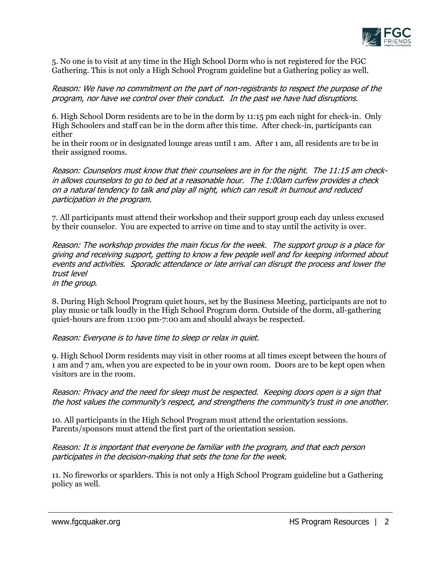

5. No one is to visit at any time in the High School Dorm who is not registered for the FGC Gathering. This is not only a High School Program guideline but a Gathering policy as well.

Reason: We have no commitment on the part of non-registrants to respect the purpose of the program, nor have we control over their conduct. In the past we have had disruptions.

6. High School Dorm residents are to be in the dorm by 11:15 pm each night for check-in. Only High Schoolers and staff can be in the dorm after this time. After check-in, participants can either

be in their room or in designated lounge areas until 1 am. After 1 am, all residents are to be in their assigned rooms.

Reason: Counselors must know that their counselees are in for the night. The 11:15 am checkin allows counselors to go to bed at a reasonable hour. The 1:00am curfew provides a check on a natural tendency to talk and play all night, which can result in burnout and reduced participation in the program.

7. All participants must attend their workshop and their support group each day unless excused by their counselor. You are expected to arrive on time and to stay until the activity is over.

Reason: The workshop provides the main focus for the week. The support group is a place for giving and receiving support, getting to know a few people well and for keeping informed about events and activities. Sporadic attendance or late arrival can disrupt the process and lower the trust level

in the group.

8. During High School Program quiet hours, set by the Business Meeting, participants are not to play music or talk loudly in the High School Program dorm. Outside of the dorm, all-gathering quiet-hours are from 11:00 pm-7:00 am and should always be respected.

Reason: Everyone is to have time to sleep or relax in quiet.

9. High School Dorm residents may visit in other rooms at all times except between the hours of 1 am and 7 am, when you are expected to be in your own room. Doors are to be kept open when visitors are in the room.

## Reason: Privacy and the need for sleep must be respected. Keeping doors open is a sign that the host values the community's respect, and strengthens the community's trust in one another.

10. All participants in the High School Program must attend the orientation sessions. Parents/sponsors must attend the first part of the orientation session.

Reason: It is important that everyone be familiar with the program, and that each person participates in the decision-making that sets the tone for the week.

11. No fireworks or sparklers. This is not only a High School Program guideline but a Gathering policy as well.